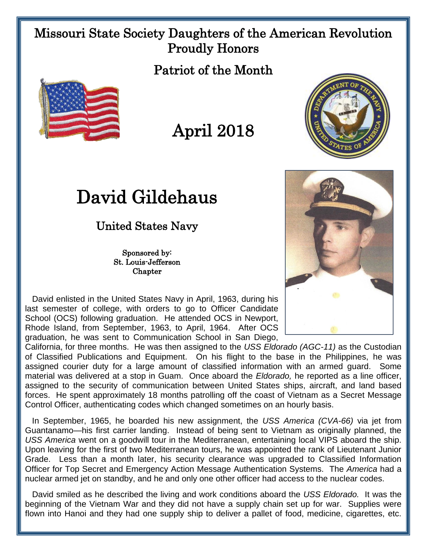## Missouri State Society Daughters of the American Revolution Proudly Honors

Patriot of the Month







## United States Navy

Sponsored by: St. Louis-Jefferson **Chapter** 

 David enlisted in the United States Navy in April, 1963, during his last semester of college, with orders to go to Officer Candidate School (OCS) following graduation. He attended OCS in Newport, Rhode Island, from September, 1963, to April, 1964. After OCS graduation, he was sent to Communication School in San Diego,

California, for three months. He was then assigned to the *USS Eldorado (AGC-11)* as the Custodian of Classified Publications and Equipment. On his flight to the base in the Philippines, he was assigned courier duty for a large amount of classified information with an armed guard. Some material was delivered at a stop in Guam. Once aboard the *Eldorado,* he reported as a line officer, assigned to the security of communication between United States ships, aircraft, and land based forces. He spent approximately 18 months patrolling off the coast of Vietnam as a Secret Message Control Officer, authenticating codes which changed sometimes on an hourly basis.

 In September, 1965, he boarded his new assignment, the *USS America (CVA-66)* via jet from Guantanamo—his first carrier landing. Instead of being sent to Vietnam as originally planned, the *USS America* went on a goodwill tour in the Mediterranean, entertaining local VIPS aboard the ship. Upon leaving for the first of two Mediterranean tours, he was appointed the rank of Lieutenant Junior Grade. Less than a month later, his security clearance was upgraded to Classified Information Officer for Top Secret and Emergency Action Message Authentication Systems. The *America* had a nuclear armed jet on standby, and he and only one other officer had access to the nuclear codes.

 David smiled as he described the living and work conditions aboard the *USS Eldorado.* It was the beginning of the Vietnam War and they did not have a supply chain set up for war. Supplies were flown into Hanoi and they had one supply ship to deliver a pallet of food, medicine, cigarettes, etc.